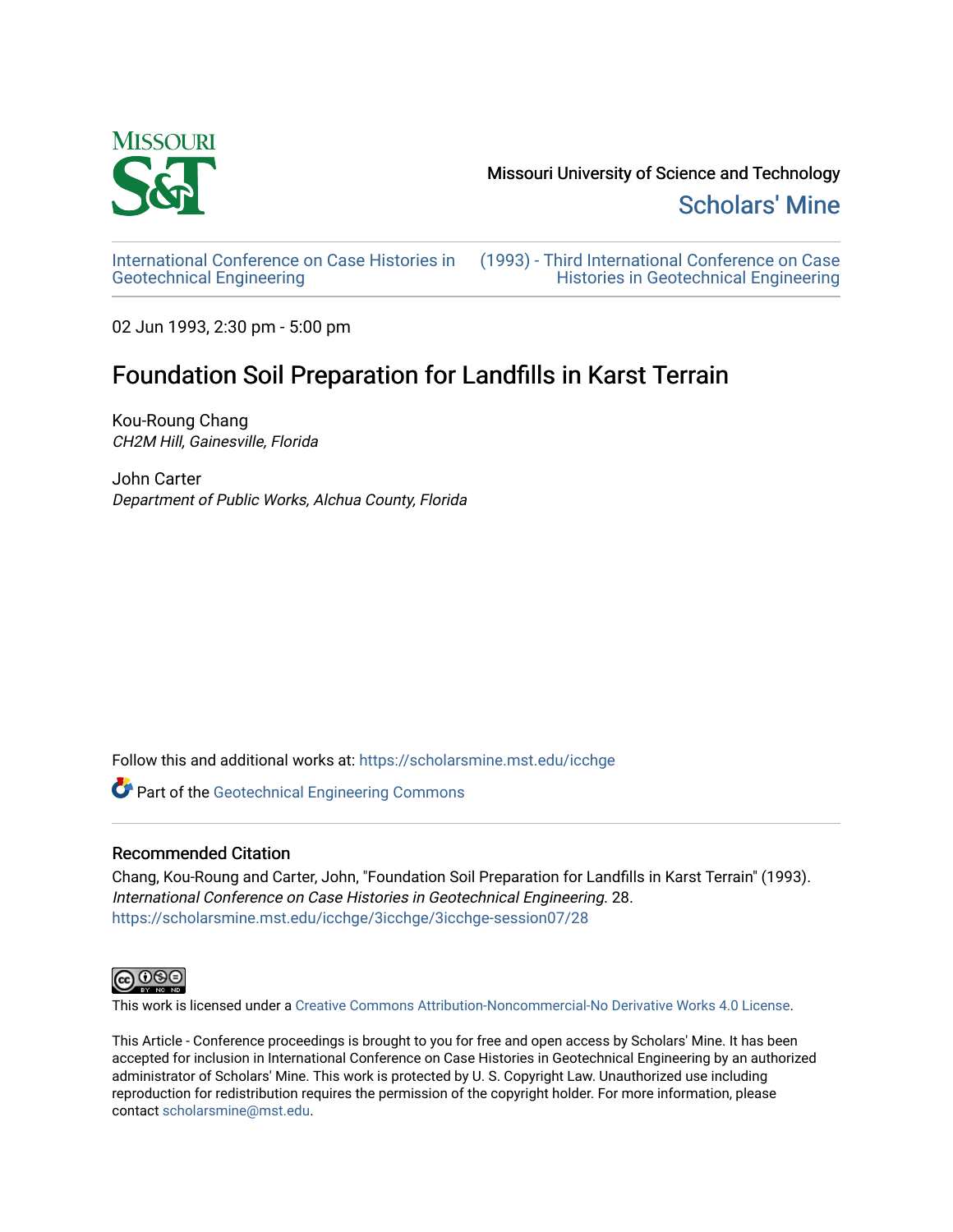

[Scholars' Mine](https://scholarsmine.mst.edu/) 

[International Conference on Case Histories in](https://scholarsmine.mst.edu/icchge)  [Geotechnical Engineering](https://scholarsmine.mst.edu/icchge)

[\(1993\) - Third International Conference on Case](https://scholarsmine.mst.edu/icchge/3icchge)  [Histories in Geotechnical Engineering](https://scholarsmine.mst.edu/icchge/3icchge) 

02 Jun 1993, 2:30 pm - 5:00 pm

# Foundation Soil Preparation for Landfills in Karst Terrain

Kou-Roung Chang CH2M Hill, Gainesville, Florida

John Carter Department of Public Works, Alchua County, Florida

Follow this and additional works at: [https://scholarsmine.mst.edu/icchge](https://scholarsmine.mst.edu/icchge?utm_source=scholarsmine.mst.edu%2Ficchge%2F3icchge%2F3icchge-session07%2F28&utm_medium=PDF&utm_campaign=PDFCoverPages) 

**Part of the Geotechnical Engineering Commons** 

# Recommended Citation

Chang, Kou-Roung and Carter, John, "Foundation Soil Preparation for Landfills in Karst Terrain" (1993). International Conference on Case Histories in Geotechnical Engineering. 28. [https://scholarsmine.mst.edu/icchge/3icchge/3icchge-session07/28](https://scholarsmine.mst.edu/icchge/3icchge/3icchge-session07/28?utm_source=scholarsmine.mst.edu%2Ficchge%2F3icchge%2F3icchge-session07%2F28&utm_medium=PDF&utm_campaign=PDFCoverPages) 



This work is licensed under a [Creative Commons Attribution-Noncommercial-No Derivative Works 4.0 License.](https://creativecommons.org/licenses/by-nc-nd/4.0/)

This Article - Conference proceedings is brought to you for free and open access by Scholars' Mine. It has been accepted for inclusion in International Conference on Case Histories in Geotechnical Engineering by an authorized administrator of Scholars' Mine. This work is protected by U. S. Copyright Law. Unauthorized use including reproduction for redistribution requires the permission of the copyright holder. For more information, please contact [scholarsmine@mst.edu](mailto:scholarsmine@mst.edu).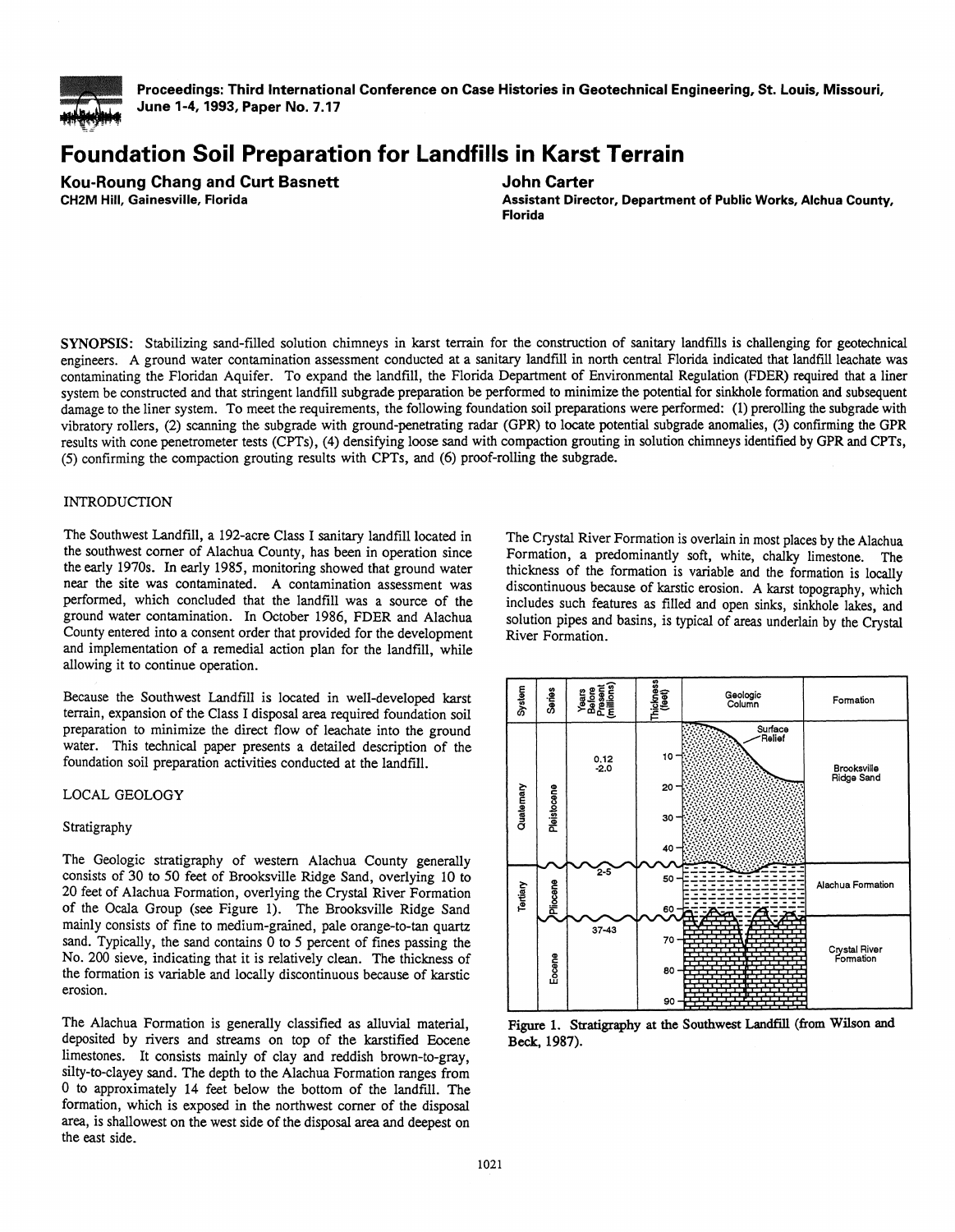

=.::::'

**Proceedings: Third International Conference on Case Histories in Geotechnical Engineering, St. Louis, Missouri, June 1-4, 1993, Paper No. 7.17** 

# **Foundation Soil Preparation for Landfills in Karst Terrain**

**Kou-Roung Chang and Curt Basnett CH2M Hill, Gainesville, Florida** 

**John Carter** 

**Assistant Director, Department of Public Works, Alchua County, Florida** 

SYNOPSIS: Stabilizing sand-filled solution chimneys in karst terrain for the construction of sanitary landfills is challenging for geotechnical engineers. A ground water contamination assessment conducted at a sanitary landfill in north central Florida indicated that landfill leachate was contaminating the Floridan Aquifer. To expand the landfill, the Florida Department of Environmental Regulation (FDER) required that a liner system be constructed and that stringent landfill subgrade preparation be performed to minimize the potential for sinkhole formation and subsequent damage to the liner system. To meet the requirements, the following foundation soil preparations were performed: (1) prerolling the subgrade with vibratory rollers, (2) scanning the subgrade with ground-penetrating radar (GPR) to locate potential subgrade anomalies, (3) confirming the GPR results with cone penetrometer tests (CPTs), (4) densifying loose sand with compaction grouting in solution chimneys identified by GPR and CPTs, (5) confirming the compaction grouting results with CPTs, and (6) proof-rolling the subgrade.

# INTRODUCTION

The Southwest Landfill, a 192-acre Class I sanitary landfill located in the southwest corner of Alachua County, has been in operation since the early 1970s. In early 1985, monitoring showed that ground water near the site was contaminated. A contamination assessment was performed, which concluded that the landfill was a source of the ground water contamination. In October 1986, FDER and Alachua County entered into a consent order that provided for the development and implementation of a remedial action plan for the landfill, while allowing it to continue operation.

Because the Southwest Landfill is located in well-developed karst terrain, expansion of the Class I disposal area required foundation soil preparation to minimize the direct flow of leachate into the ground water. This technical paper presents a detailed description of the foundation soil preparation activities conducted at the landfill.

## LOCAL GEOLOGY

## Stratigraphy

The Geologic stratigraphy of western Alachua County generally consists of 30 to *50* feet of Brooksville Ridge Sand, overlying 10 to 20 feet of Alachua Formation, overlying the Crystal River Formation of the Ocala Group (see Figure 1). The Brooksville Ridge Sand mainly consists of fine to medium-grained, pale orange-to-tan quartz sand. Typically, the sand contains 0 to *5* percent of fines passing the No. 200 sieve, indicating that it is relatively clean. The thickness of the formation is variable and locally discontinuous because of karstic erosion.

The Alachua Formation is generally classified as alluvial material, deposited by rivers and streams on top of the karstified Eocene limestones. It consists mainly of clay and reddish brown-to-gray, silty-to-clayey sand. The depth to the Alachua Formation ranges from 0 to approximately 14 feet below the bottom of the landflll. The formation, which is exposed in the northwest corner of the disposal area, is shallowest on the west side of the disposal area and deepest on the east side.

The Crystal River Formation is overlain in most places by the Alachua Formation, a predominantly soft, white, chalky limestone. The thickness of the formation is variable and the formation is locally discontinuous because of karstic erosion. A karst topography, which includes such features as filled and open sinks, sinkhole lakes, and solution pipes and basins, is typical of areas underlain by the Crystal River Formation.



Figure 1. Stratigraphy at the Southwest Landfill (from Wilson and Beck, 1987).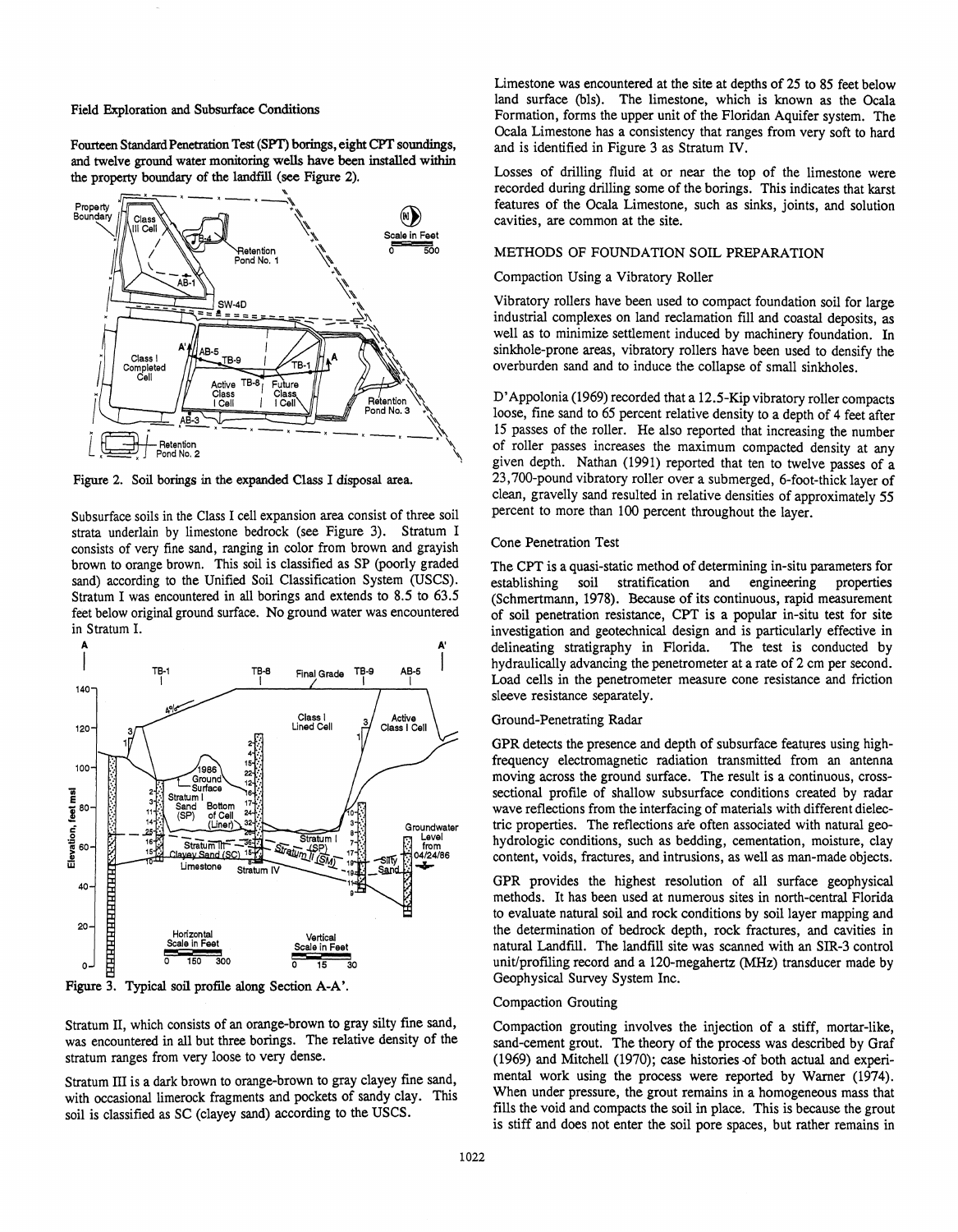Field Exploration and Subsurface Conditions

Fourteen Standard Penetration Test (SPT) borings, eight CPT soundings, and twelve ground water monitoring wells have been installed within the property boundary of the landfill (see Figure 2).



Figure 2. Soil borings in the expanded Class I disposal area.

Subsurface soils in the Class I cell expansion area consist of three soil strata underlain by limestone bedrock (see Figure 3). Stratum I consists of very fine sand, ranging in color from brown and grayish brown to orange brown. This soil is classified as SP (poorly graded sand) according to the Unified Soil Classification System (USCS). Stratum I was encountered in all borings and extends to 8.5 to 63.5 feet below original ground surface. No ground water was encountered in Stratum I.



Figure 3. Typical soil profile along Section A-A'.

Stratum II, which consists of an orange-brown to gray silty fine sand, was encountered in all but three borings. The relative density of the stratum ranges from very loose to very dense.

Stratum III is a dark brown to orange-brown to gray clayey fine sand, with occasional limerock fragments and pockets of sandy clay. This soil is classified as SC (clayey sand) according to the USCS.

Limestone was encountered at the site at depths of 25 to 85 feet below land surface (bls). The limestone, which is known as the Ocala Formation, forms the upper unit of the Floridan Aquifer system. The Ocala Limestone has a consistency that ranges from very soft to hard and is identified in Figure 3 as Stratum IV.

Losses of drilling fluid at or near the top of the limestone were recorded during drilling some of the borings. This indicates that karst features of the Ocala Limestone, such as sinks, joints, and solution cavities, are common at the site.

# METHODS OF FOUNDATION SOIL PREPARATION

## Compaction Using a Vibratory Roller

Vibratory rollers have been used to compact foundation soil for large industrial complexes on land reclamation fill and coastal deposits, as well as to minimize settlement induced by machinery foundation. In sinkhole-prone areas, vibratory rollers have been used to densify the overburden sand and to induce the collapse of small sinkholes.

D' Appolonia (1969) recorded that a 12.5-Kip vibratory roller compacts loose, fine sand to *65* percent relative density to a depth of 4 feet after 15 passes of the roller. He also reported that increasing the number of roller passes increases the maximum compacted density at any given depth. Nathan (1991) reported that ten to twelve passes of a 23, 700-pound vibratory roller over a submerged, 6-foot-thick layer of clean, gravelly sand resulted in relative densities of approximately 55 percent to more than 100 percent throughout the layer.

# Cone Penetration Test

The CPT is a quasi-static method of determining in-situ parameters for establishing soil stratification and engineering properties (Schmertmann, 1978). Because of its continuous, rapid measurement of soil penetration resistance, CPT is a popular in-situ test for site investigation and geotechnical design and is particularly effective in delineating stratigraphy in Florida. The test is conducted by hydraulically advancing the penetrometer at a rate of 2 em per second. Load cells in the penetrometer measure cone resistance and friction sleeve resistance separately.

# Ground-Penetrating Radar

GPR detects the presence and depth of subsurface features using highfrequency electromagnetic radiation transmitted from an antenna moving across the ground surface. The result is a continuous, crosssectional profile of shallow subsurface conditions created by radar wave reflections from the interfacing of materials with different dielectric properties. The reflections ate often associated with natural geohydrologic conditions, such as bedding, cementation, moisture, clay content, voids, fractures, and intrusions, as well as man-made objects.

GPR provides the highest resolution of all surface geophysical methods. It has been used at numerous sites in north-central Florida to evaluate natural soil and rock conditions by soil layer mapping and the determination of bedrock depth, rock fractures, and cavities in natural Landfill. The landfill site was scanned with an SIR-3 control unit/profiling record and a 120-megahertz (MHz) transducer made by Geophysical Survey System Inc.

## Compaction Grouting

Compaction grouting involves the injection of a stiff, mortar-like, sand-cement grout. The theory of the process was described by Graf  $(1969)$  and Mitchell  $(1970)$ ; case histories of both actual and experimental work using the process were reported by Warner (1974). When under pressure, the grout remains in a homogeneous mass that fills the void and compacts the soil in place. This is because the grout is stiff and does not enter the soil pore spaces, but rather remains in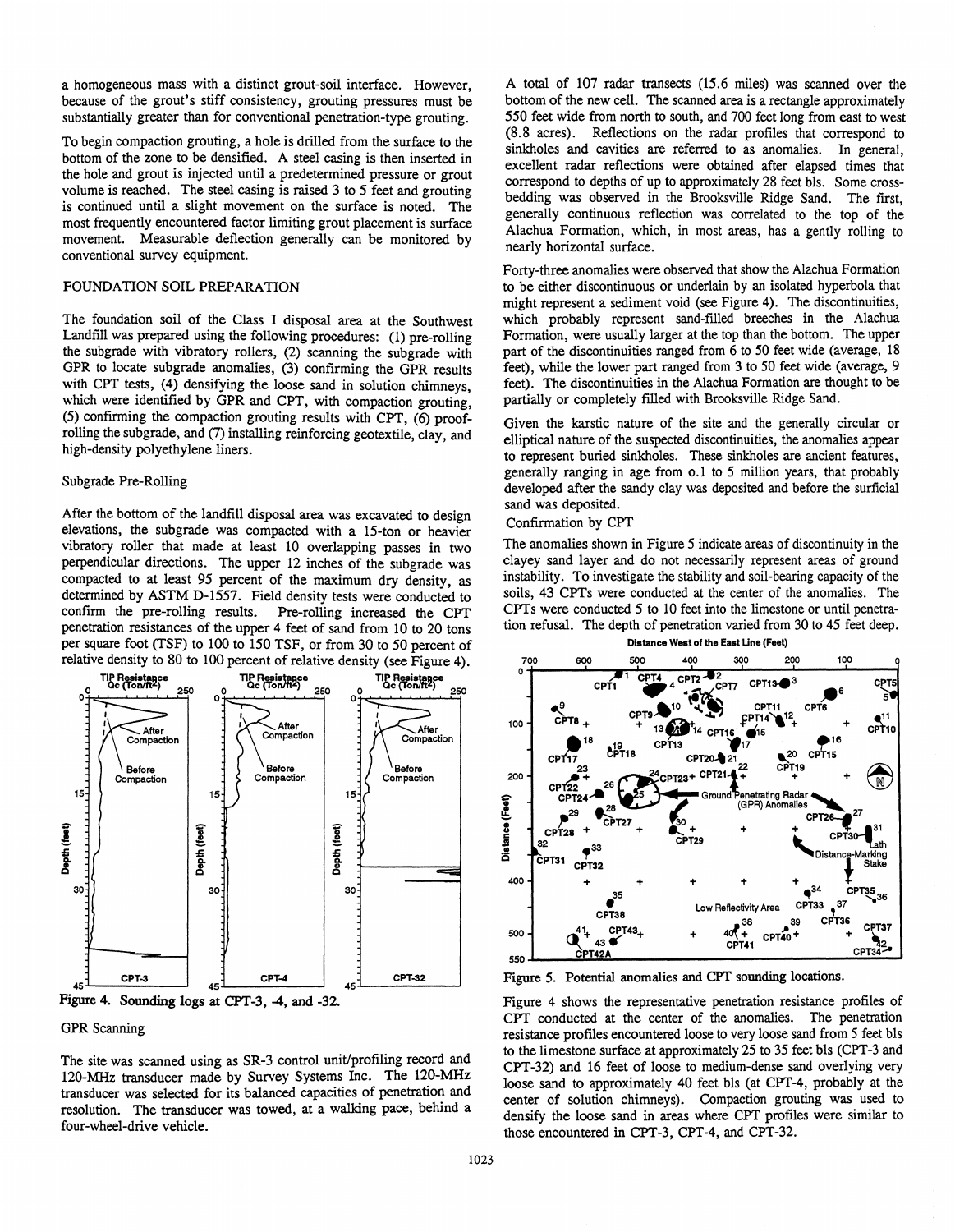a homogeneous mass with a distinct grout-soil interface. However, because of the grout's stiff consistency, grouting pressures must be substantially greater than for conventional penetration-type grouting.

To begin compaction grouting, a hole is drilled from the surface to the bottom of the zone to be densified. A steel casing is then inserted in the hole and grout is injected until a predetermined pressure or grout volume is reached. The steel casing is raised 3 to *5* feet and grouting is continued until a slight movement on the surface is noted. The most frequently encountered factor limiting grout placement is surface movement. Measurable deflection generally can be monitored by conventional survey equipment.

# FOUNDATION SOIL PREPARATION

The foundation soil of the Class I disposal area at the Southwest Landfill was prepared using the following procedures: (1) pre-rolling the subgrade with vibratory rollers, (2) scanning the subgrade with GPR to locate subgrade anomalies, (3) confirming the GPR results with CPT tests, (4) densifying the loose sand in solution chimneys, which were identified by GPR and CPT, with compaction grouting, (5) confirming the compaction grouting results with CPT, (6) proofrolling the subgrade, and (7) installing reinforcing geotextile, clay, and high-density polyethylene liners.

#### Subgrade Pre-Rolling

After the bottom of the landfill disposal area was excavated to design elevations, the subgrade was compacted with a 15-ton or heavier vibratory roller that made at least 10 overlapping passes in two perpendicular directions. The upper 12 inches of the subgrade was compacted to at least *95* percent of the maximum dry density, as determined by ASTM D-1557. Field density tests were conducted to confirm the pre-rolling results. Pre-rolling increased the CPT penetration resistances of the upper 4 feet of sand from 10 to 20 tons per square foot (TSF) to 100 to 150 TSF, or from 30 to 50 percent of relative density to 80 to 100 percent of relative density (see Figure 4).





# GPR Scanning

The site was scanned using as SR-3 control unit/profiling record and 120-MHz transducer made by Survey Systems Inc. The 120-MHz transducer was selected for its balanced capacities of penetration and resolution. The transducer was towed, at a walking pace, behind a four-wheel-drive vehicle.

A total of 107 radar transects (15.6 miles) was scanned over the bottom of the new cell. The scanned area is a rectangle approximately 550 feet wide from north to south, and 700 feet long from east to west (8.8 acres). Reflections on the radar profiles that correspond to sinkholes and cavities are referred to as anomalies. In general, excellent radar reflections were obtained after elapsed times that correspond to depths of up to approximately 28 feet bls. Some crossbedding was observed in the Brooksville Ridge Sand. The first, generally continuous reflection was correlated to the top of the Alachua Formation, which, in most areas, has a gently rolling to nearly horizontal surface.

Forty-three anomalies were observed that show the Alachua Formation to be either discontinuous or underlain by an isolated hyperbola that might represent a sediment void (see Figure 4). The discontinuities, which probably represent sand-filled breeches in the Alachua Formation, were usually larger at the top than the bottom. The upper part of the discontinuities ranged from 6 to 50 feet wide (average, 18 feet), while the lower part ranged from 3 to 50 feet wide (average, 9 feet). The discontinuities in the Alachua Formation are thought to be partially or completely filled with Brooksville Ridge Sand.

Given the karstic nature of the site and the generally circular or elliptical nature of the suspected discontinuities, the anomalies appear to represent buried sinkholes. These sinkholes are ancient features, generally ranging in age from o.1 to *5* million years, that probably developed after the sandy clay was deposited and before the surficial sand was deposited.

## Confirmation by CPT

The anomalies shown in Figure *5* indicate areas of discontinuity in the clayey sand layer and do not necessarily represent areas of ground instability. To investigate the stability and soil-bearing capacity of the soils, 43 CPTs were conducted at the center of the anomalies. The CPTs were conducted 5 to 10 feet into the limestone or until penetration refusal. The depth of penetration varied from 30 to 45 feet deep.



Figure *5.* Potential anomalies and CPT sounding locations.

Figure 4 shows the representative penetration resistance profiles of CPT conducted at the center of the anomalies. The penetration resistance profiles encountered loose to very loose sand from *5* feet bls to the limestone surface at approximately 25 to 35 feet bls (CPT-3 and CPT-32) and 16 feet of loose to medium-dense sand overlying very loose sand to approximately 40 feet bls (at CPT-4, probably at the center of solution chimneys). Compaction grouting was used to densify the loose sand in areas where CPT profiles were similar to those encountered in CPT-3, CPT-4, and CPT-32.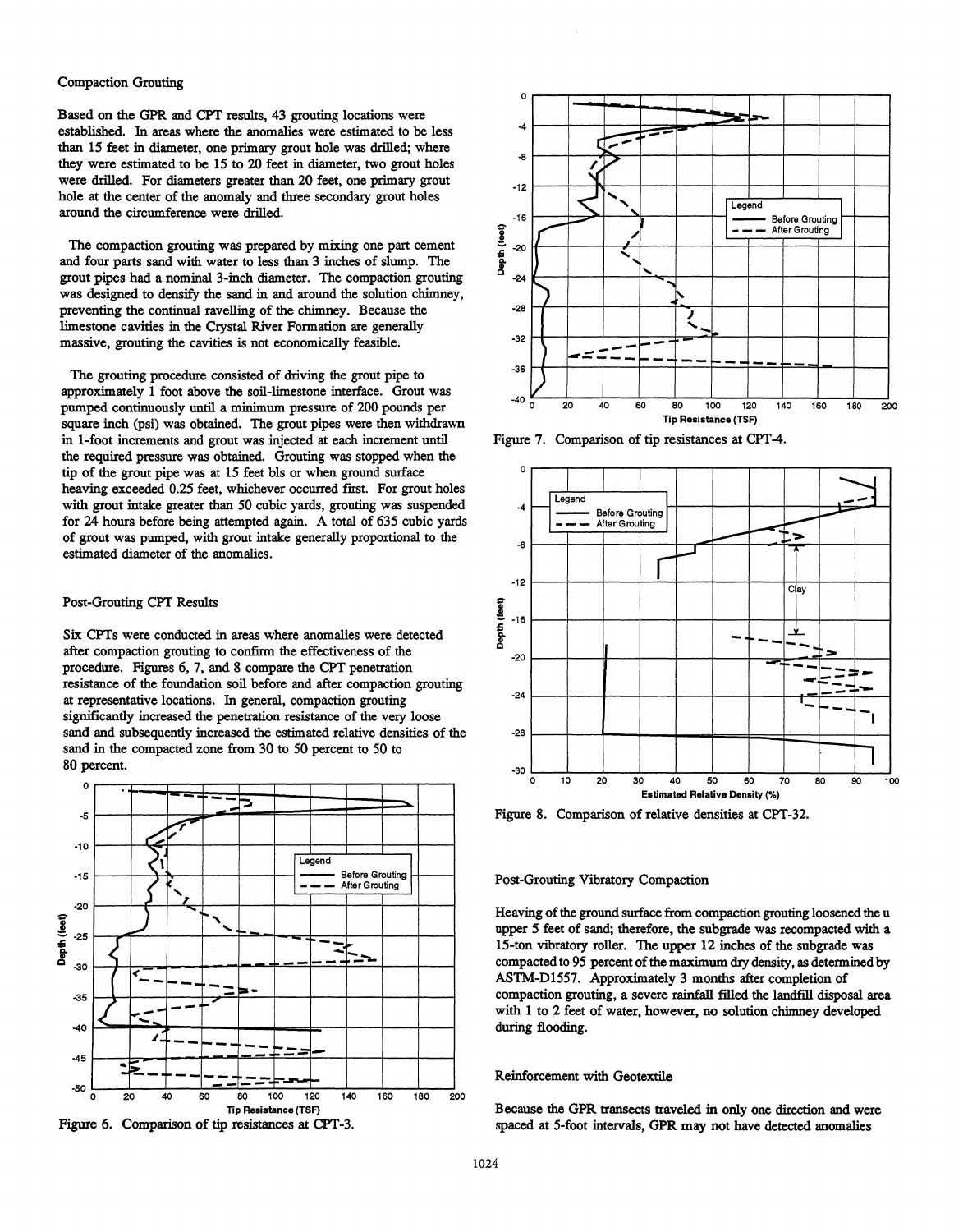#### Compaction Grouting

Based on the GPR and CPT results, 43 grouting locations were established. In areas where the anomalies were estimated to be less than 15 feet in diameter, one primary grout hole was drilled; where they were estimated to be 15 to 20 feet in diameter, two grout holes were drilled. For diameters greater than 20 feet, one primary grout hole at the center of the anomaly and three secondary grout holes around the circumference were drilled.

The compaction grouting was prepared by mixing one part cement and four parts sand with water to less than 3 inches of slump. The grout pipes had a nominal 3-inch diameter. The compaction grouting was designed to densify the sand in and around the solution chimney, preventing the continual ravelling of the chimney. Because the limestone cavities in the Crystal River Formation are generally massive, grouting the cavities is not economically feasible.

The grouting procedure consisted of driving the grout pipe to approximately 1 foot above the soil-limestone interface. Grout was pumped continuously until a minimum pressure of 200 pounds per square inch (psi) was obtained. The grout pipes were then withdrawn in 1-foot increments and grout was injected at each increment until the required pressure was obtained. Grouting was stopped when the tip of the grout pipe was at 15 feet bls or when ground surface heaving exceeded 0.25 feet, whichever occurred first. For grout holes with grout intake greater than 50 cubic yards, grouting was suspended for 24 hours before being attempted again. A total of 635 cubic yards of grout was pumped, with grout intake generally proportional to the estimated diameter of the anomalies.

# Post-Grouting CPT Results

Six CPTs were conducted in areas where anomalies were detected after compaction grouting to confirm the effectiveness of the procedure. Figures 6, 7, and 8 compare the CPT penetration resistance of the foundation soil before and after compaction grouting at representative locations. In general, compaction grouting significantly increased the penetration resistance of the very loose sand and subsequently increased the estimated relative densities of the sand in the compacted zone from 30 to 50 percent to 50 to 80 percent.







Figure 7. Comparison of tip resistances at CPT-4.



Figure 8. Comparison of relative densities at CPT-32.

### Post-Grouting Vibratory Compaction

Heaving of the ground surface from compaction grouting loosened the u upper 5 feet of sand; therefore, the subgrade was recompacted with a 15-ton vibratory roller. The upper 12 inches of the subgrade was compacted to 95 percent of the maximum dry density, as determined by ASTM-01557. Approximately 3 months after completion of compaction grouting, a severe rainfall filled the landfill disposal area with 1 to 2 feet of water, however, no solution chimney developed during flooding.

## Reinforcement with Geotextile

Because the GPR transects traveled in only one direction and were spaced at 5-foot intervals, GPR may not have detected anomalies